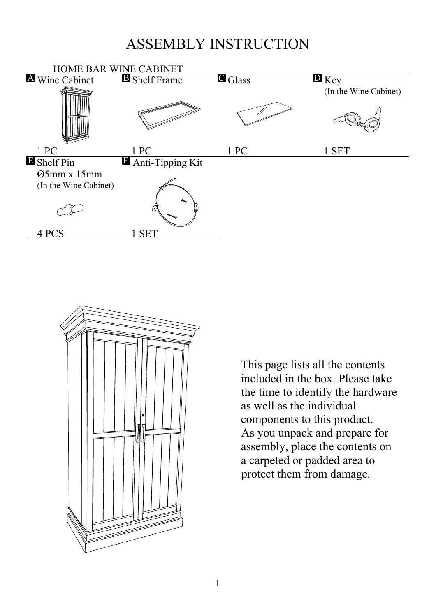## ASSEMBLY INSTRUCTION





This page lists all the contents included in the box. Please take the time to identify the hardware as well as the individual components to this product. As you unpack and prepare for assembly, place the contents on a carpeted or padded area to protect them from damage.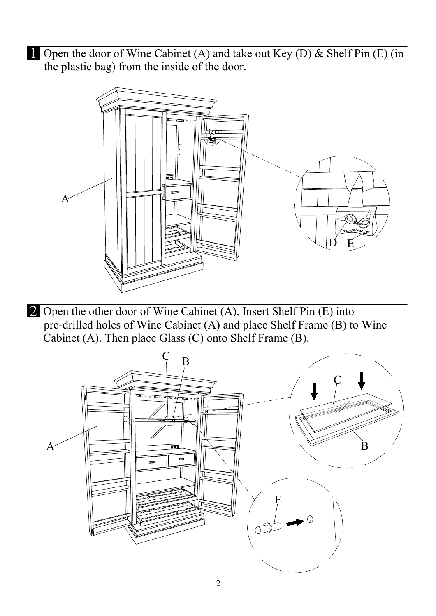1 Open the door of Wine Cabinet (A) and take out Key (D) & Shelf Pin (E) (in the plastic bag) from the inside of the door.



2 Open the other door of Wine Cabinet (A). Insert Shelf Pin (E) into pre-drilled holes of Wine Cabinet (A) and place Shelf Frame (B) to Wine Cabinet (A). Then place Glass (C) onto Shelf Frame (B).

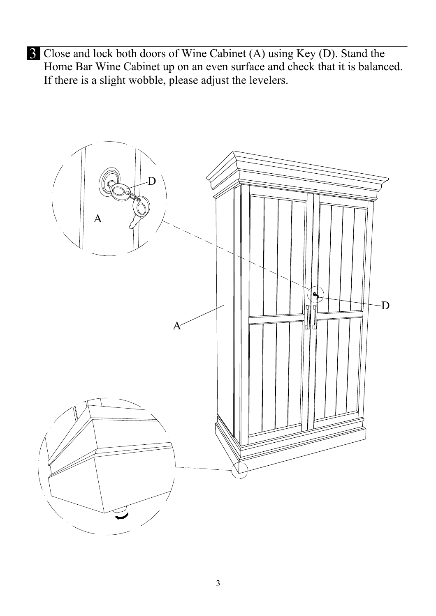3 Close and lock both doors of Wine Cabinet (A) using Key (D). Stand the Home Bar Wine Cabinet up on an even surface and check that it is balanced. If there is a slight wobble, please adjust the levelers.